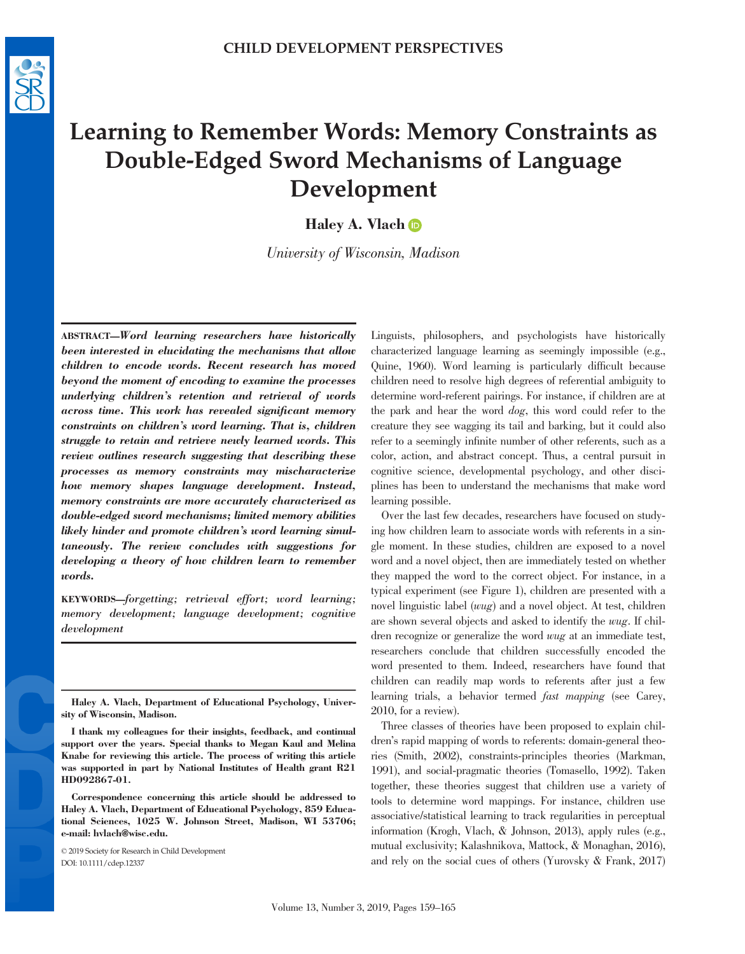

# Learning to Remember Words: Memory Constraints as Double-Edged Sword Mechanisms of Language Development

Haley A. Vlach D

University of Wisconsin, Madison

ABSTRACT—Word learning researchers have historically been interested in elucidating the mechanisms that allow children to encode words. Recent research has moved beyond the moment of encoding to examine the processes underlying children's retention and retrieval of words across time. This work has revealed significant memory constraints on children's word learning. That is, children struggle to retain and retrieve newly learned words. This review outlines research suggesting that describing these processes as memory constraints may mischaracterize how memory shapes language development. Instead, memory constraints are more accurately characterized as double-edged sword mechanisms; limited memory abilities likely hinder and promote children's word learning simultaneously. The review concludes with suggestions for developing a theory of how children learn to remember words.

KEYWORDS—forgetting; retrieval effort; word learning; memory development; language development; cognitive development

Haley A. Vlach, Department of Educational Psychology, University of Wisconsin, Madison.

I thank my colleagues for their insights, feedback, and continual support over the years. Special thanks to Megan Kaul and Melina Knabe for reviewing this article. The process of writing this article was supported in part by National Institutes of Health grant R21 HD092867-01.

Correspondence concerning this article should be addressed to Haley A. Vlach, Department of Educational Psychology, 859 Educational Sciences, 1025 W. Johnson Street, Madison, WI 53706; e-mail: [hvlach@wisc.edu.](mailto:)

Linguists, philosophers, and psychologists have historically characterized language learning as seemingly impossible (e.g., Quine, 1960). Word learning is particularly difficult because children need to resolve high degrees of referential ambiguity to determine word-referent pairings. For instance, if children are at the park and hear the word dog, this word could refer to the creature they see wagging its tail and barking, but it could also refer to a seemingly infinite number of other referents, such as a color, action, and abstract concept. Thus, a central pursuit in cognitive science, developmental psychology, and other disciplines has been to understand the mechanisms that make word learning possible.

Over the last few decades, researchers have focused on studying how children learn to associate words with referents in a single moment. In these studies, children are exposed to a novel word and a novel object, then are immediately tested on whether they mapped the word to the correct object. For instance, in a typical experiment (see Figure 1), children are presented with a novel linguistic label (*wug*) and a novel object. At test, children are shown several objects and asked to identify the wug. If children recognize or generalize the word wug at an immediate test, researchers conclude that children successfully encoded the word presented to them. Indeed, researchers have found that children can readily map words to referents after just a few learning trials, a behavior termed fast mapping (see Carey, 2010, for a review).

Three classes of theories have been proposed to explain children's rapid mapping of words to referents: domain-general theories (Smith, 2002), constraints-principles theories (Markman, 1991), and social-pragmatic theories (Tomasello, 1992). Taken together, these theories suggest that children use a variety of tools to determine word mappings. For instance, children use associative/statistical learning to track regularities in perceptual information (Krogh, Vlach, & Johnson, 2013), apply rules (e.g., mutual exclusivity; Kalashnikova, Mattock, & Monaghan, 2016), and rely on the social cues of others (Yurovsky & Frank, 2017)

<sup>©</sup> 2019 Society for Research in Child Development DOI: 10.1111/cdep.12337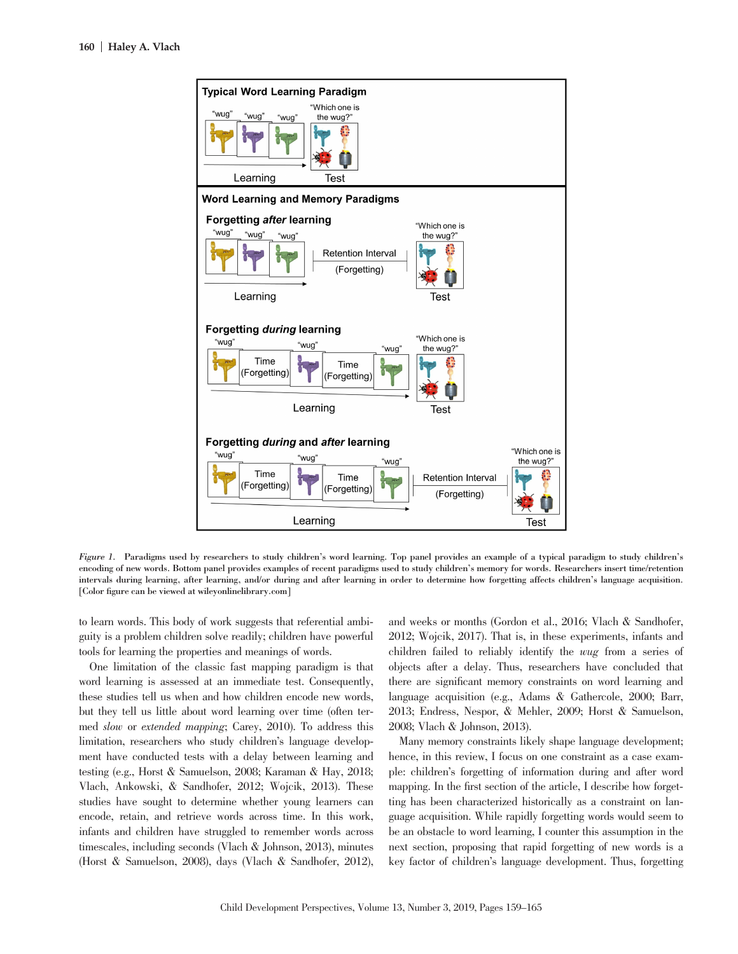

Figure 1. Paradigms used by researchers to study children's word learning. Top panel provides an example of a typical paradigm to study children's encoding of new words. Bottom panel provides examples of recent paradigms used to study children's memory for words. Researchers insert time/retention intervals during learning, after learning, and/or during and after learning in order to determine how forgetting affects children's language acquisition. [Color figure can be viewed at [wileyonlinelibrary.com](www.wileyonlinelibrary.com)]

to learn words. This body of work suggests that referential ambiguity is a problem children solve readily; children have powerful tools for learning the properties and meanings of words.

One limitation of the classic fast mapping paradigm is that word learning is assessed at an immediate test. Consequently, these studies tell us when and how children encode new words, but they tell us little about word learning over time (often termed slow or extended mapping; Carey, 2010). To address this limitation, researchers who study children's language development have conducted tests with a delay between learning and testing (e.g., Horst & Samuelson, 2008; Karaman & Hay, 2018; Vlach, Ankowski, & Sandhofer, 2012; Wojcik, 2013). These studies have sought to determine whether young learners can encode, retain, and retrieve words across time. In this work, infants and children have struggled to remember words across timescales, including seconds (Vlach & Johnson, 2013), minutes (Horst & Samuelson, 2008), days (Vlach & Sandhofer, 2012), and weeks or months (Gordon et al., 2016; Vlach & Sandhofer, 2012; Wojcik, 2017). That is, in these experiments, infants and children failed to reliably identify the wug from a series of objects after a delay. Thus, researchers have concluded that there are significant memory constraints on word learning and language acquisition (e.g., Adams & Gathercole, 2000; Barr, 2013; Endress, Nespor, & Mehler, 2009; Horst & Samuelson, 2008; Vlach & Johnson, 2013).

Many memory constraints likely shape language development; hence, in this review, I focus on one constraint as a case example: children's forgetting of information during and after word mapping. In the first section of the article, I describe how forgetting has been characterized historically as a constraint on language acquisition. While rapidly forgetting words would seem to be an obstacle to word learning, I counter this assumption in the next section, proposing that rapid forgetting of new words is a key factor of children's language development. Thus, forgetting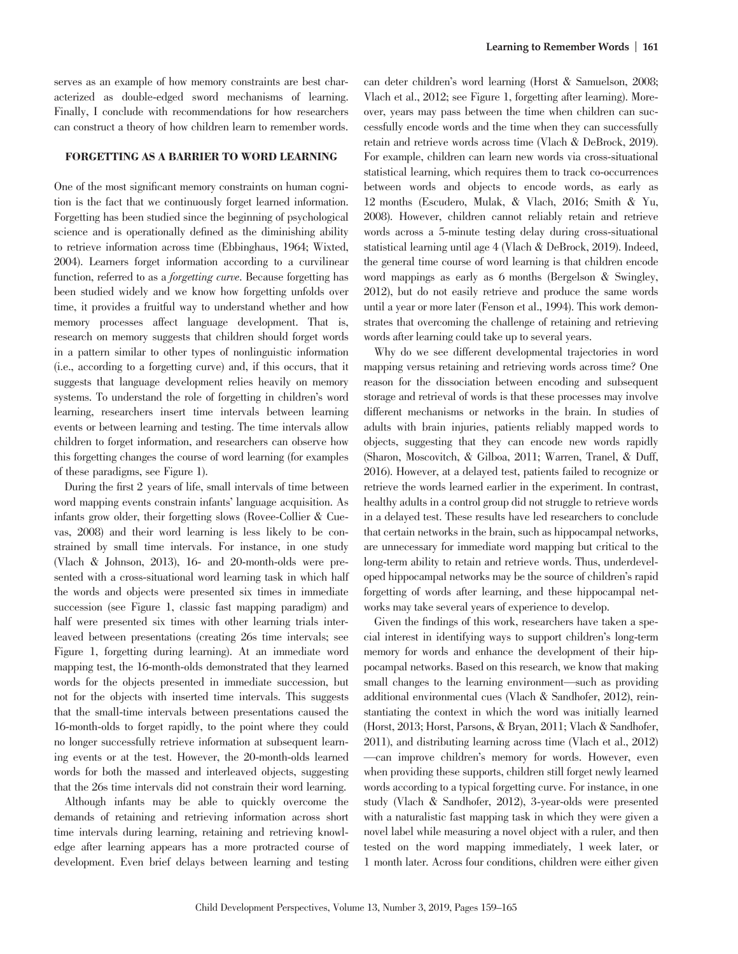serves as an example of how memory constraints are best characterized as double-edged sword mechanisms of learning. Finally, I conclude with recommendations for how researchers can construct a theory of how children learn to remember words.

## FORGETTING AS A BARRIER TO WORD LEARNING

One of the most significant memory constraints on human cognition is the fact that we continuously forget learned information. Forgetting has been studied since the beginning of psychological science and is operationally defined as the diminishing ability to retrieve information across time (Ebbinghaus, 1964; Wixted, 2004). Learners forget information according to a curvilinear function, referred to as a *forgetting curve*. Because forgetting has been studied widely and we know how forgetting unfolds over time, it provides a fruitful way to understand whether and how memory processes affect language development. That is, research on memory suggests that children should forget words in a pattern similar to other types of nonlinguistic information (i.e., according to a forgetting curve) and, if this occurs, that it suggests that language development relies heavily on memory systems. To understand the role of forgetting in children's word learning, researchers insert time intervals between learning events or between learning and testing. The time intervals allow children to forget information, and researchers can observe how this forgetting changes the course of word learning (for examples of these paradigms, see Figure 1).

During the first 2 years of life, small intervals of time between word mapping events constrain infants' language acquisition. As infants grow older, their forgetting slows (Rovee-Collier & Cuevas, 2008) and their word learning is less likely to be constrained by small time intervals. For instance, in one study (Vlach & Johnson, 2013), 16- and 20-month-olds were presented with a cross-situational word learning task in which half the words and objects were presented six times in immediate succession (see Figure 1, classic fast mapping paradigm) and half were presented six times with other learning trials interleaved between presentations (creating 26s time intervals; see Figure 1, forgetting during learning). At an immediate word mapping test, the 16-month-olds demonstrated that they learned words for the objects presented in immediate succession, but not for the objects with inserted time intervals. This suggests that the small-time intervals between presentations caused the 16-month-olds to forget rapidly, to the point where they could no longer successfully retrieve information at subsequent learning events or at the test. However, the 20-month-olds learned words for both the massed and interleaved objects, suggesting that the 26s time intervals did not constrain their word learning.

Although infants may be able to quickly overcome the demands of retaining and retrieving information across short time intervals during learning, retaining and retrieving knowledge after learning appears has a more protracted course of development. Even brief delays between learning and testing can deter children's word learning (Horst & Samuelson, 2008; Vlach et al., 2012; see Figure 1, forgetting after learning). Moreover, years may pass between the time when children can successfully encode words and the time when they can successfully retain and retrieve words across time (Vlach & DeBrock, 2019). For example, children can learn new words via cross-situational statistical learning, which requires them to track co-occurrences between words and objects to encode words, as early as 12 months (Escudero, Mulak, & Vlach, 2016; Smith & Yu, 2008). However, children cannot reliably retain and retrieve words across a 5-minute testing delay during cross-situational statistical learning until age 4 (Vlach & DeBrock, 2019). Indeed, the general time course of word learning is that children encode word mappings as early as 6 months (Bergelson & Swingley, 2012), but do not easily retrieve and produce the same words until a year or more later (Fenson et al., 1994). This work demonstrates that overcoming the challenge of retaining and retrieving words after learning could take up to several years.

Why do we see different developmental trajectories in word mapping versus retaining and retrieving words across time? One reason for the dissociation between encoding and subsequent storage and retrieval of words is that these processes may involve different mechanisms or networks in the brain. In studies of adults with brain injuries, patients reliably mapped words to objects, suggesting that they can encode new words rapidly (Sharon, Moscovitch, & Gilboa, 2011; Warren, Tranel, & Duff, 2016). However, at a delayed test, patients failed to recognize or retrieve the words learned earlier in the experiment. In contrast, healthy adults in a control group did not struggle to retrieve words in a delayed test. These results have led researchers to conclude that certain networks in the brain, such as hippocampal networks, are unnecessary for immediate word mapping but critical to the long-term ability to retain and retrieve words. Thus, underdeveloped hippocampal networks may be the source of children's rapid forgetting of words after learning, and these hippocampal networks may take several years of experience to develop.

Given the findings of this work, researchers have taken a special interest in identifying ways to support children's long-term memory for words and enhance the development of their hippocampal networks. Based on this research, we know that making small changes to the learning environment—such as providing additional environmental cues (Vlach & Sandhofer, 2012), reinstantiating the context in which the word was initially learned (Horst, 2013; Horst, Parsons, & Bryan, 2011; Vlach & Sandhofer, 2011), and distributing learning across time (Vlach et al., 2012) —can improve children's memory for words. However, even when providing these supports, children still forget newly learned words according to a typical forgetting curve. For instance, in one study (Vlach & Sandhofer, 2012), 3-year-olds were presented with a naturalistic fast mapping task in which they were given a novel label while measuring a novel object with a ruler, and then tested on the word mapping immediately, 1 week later, or 1 month later. Across four conditions, children were either given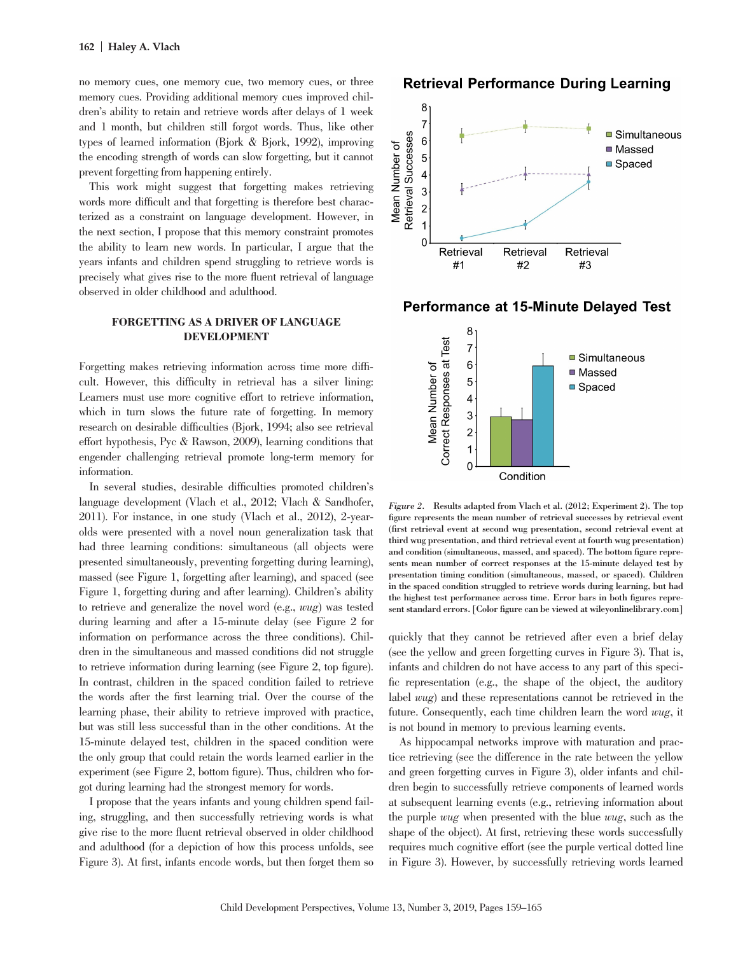no memory cues, one memory cue, two memory cues, or three memory cues. Providing additional memory cues improved children's ability to retain and retrieve words after delays of 1 week and 1 month, but children still forgot words. Thus, like other types of learned information (Bjork & Bjork, 1992), improving the encoding strength of words can slow forgetting, but it cannot prevent forgetting from happening entirely.

This work might suggest that forgetting makes retrieving words more difficult and that forgetting is therefore best characterized as a constraint on language development. However, in the next section, I propose that this memory constraint promotes the ability to learn new words. In particular, I argue that the years infants and children spend struggling to retrieve words is precisely what gives rise to the more fluent retrieval of language observed in older childhood and adulthood.

#### FORGETTING AS A DRIVER OF LANGUAGE DEVELOPMENT

Forgetting makes retrieving information across time more difficult. However, this difficulty in retrieval has a silver lining: Learners must use more cognitive effort to retrieve information, which in turn slows the future rate of forgetting. In memory research on desirable difficulties (Bjork, 1994; also see retrieval effort hypothesis, Pyc & Rawson, 2009), learning conditions that engender challenging retrieval promote long-term memory for information.

In several studies, desirable difficulties promoted children's language development (Vlach et al., 2012; Vlach & Sandhofer, 2011). For instance, in one study (Vlach et al., 2012), 2-yearolds were presented with a novel noun generalization task that had three learning conditions: simultaneous (all objects were presented simultaneously, preventing forgetting during learning), massed (see Figure 1, forgetting after learning), and spaced (see Figure 1, forgetting during and after learning). Children's ability to retrieve and generalize the novel word (e.g., wug) was tested during learning and after a 15-minute delay (see Figure 2 for information on performance across the three conditions). Children in the simultaneous and massed conditions did not struggle to retrieve information during learning (see Figure 2, top figure). In contrast, children in the spaced condition failed to retrieve the words after the first learning trial. Over the course of the learning phase, their ability to retrieve improved with practice, but was still less successful than in the other conditions. At the 15-minute delayed test, children in the spaced condition were the only group that could retain the words learned earlier in the experiment (see Figure 2, bottom figure). Thus, children who forgot during learning had the strongest memory for words.

I propose that the years infants and young children spend failing, struggling, and then successfully retrieving words is what give rise to the more fluent retrieval observed in older childhood and adulthood (for a depiction of how this process unfolds, see Figure 3). At first, infants encode words, but then forget them so

#### **Retrieval Performance During Learning**



**Performance at 15-Minute Delayed Test** 



Figure 2. Results adapted from Vlach et al. (2012; Experiment 2). The top figure represents the mean number of retrieval successes by retrieval event (first retrieval event at second wug presentation, second retrieval event at third wug presentation, and third retrieval event at fourth wug presentation) and condition (simultaneous, massed, and spaced). The bottom figure represents mean number of correct responses at the 15-minute delayed test by presentation timing condition (simultaneous, massed, or spaced). Children in the spaced condition struggled to retrieve words during learning, but had the highest test performance across time. Error bars in both figures represent standard errors. [Color figure can be viewed at [wileyonlinelibrary.com\]](www.wileyonlinelibrary.com)

quickly that they cannot be retrieved after even a brief delay (see the yellow and green forgetting curves in Figure 3). That is, infants and children do not have access to any part of this specific representation (e.g., the shape of the object, the auditory label wug) and these representations cannot be retrieved in the future. Consequently, each time children learn the word wug, it is not bound in memory to previous learning events.

As hippocampal networks improve with maturation and practice retrieving (see the difference in the rate between the yellow and green forgetting curves in Figure 3), older infants and children begin to successfully retrieve components of learned words at subsequent learning events (e.g., retrieving information about the purple *wug* when presented with the blue *wug*, such as the shape of the object). At first, retrieving these words successfully requires much cognitive effort (see the purple vertical dotted line in Figure 3). However, by successfully retrieving words learned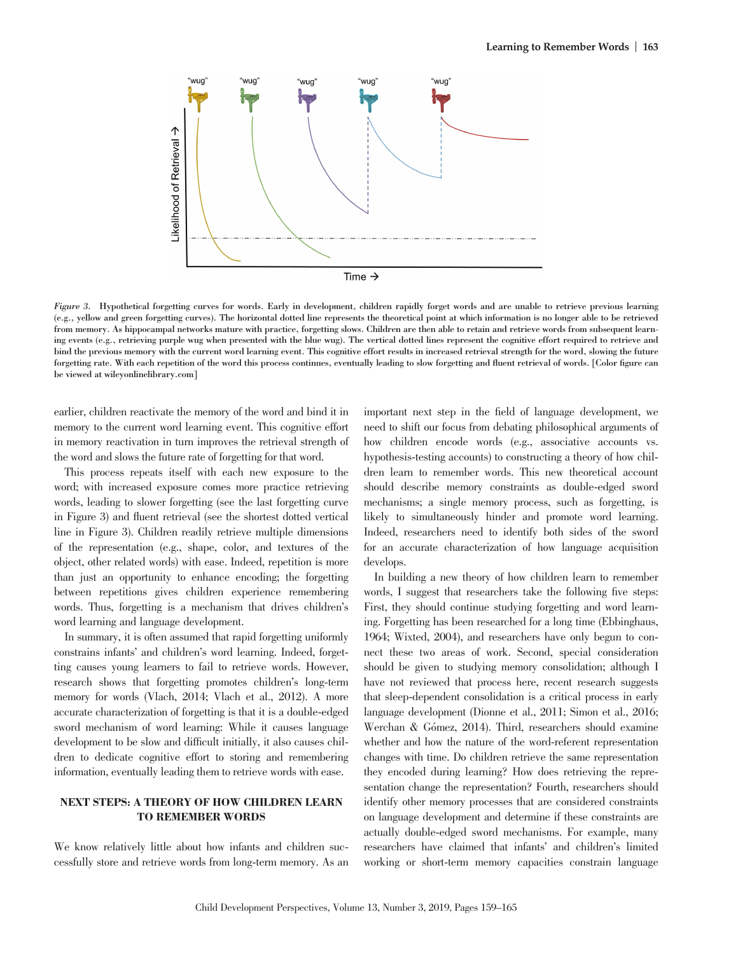

Figure 3. Hypothetical forgetting curves for words. Early in development, children rapidly forget words and are unable to retrieve previous learning (e.g., yellow and green forgetting curves). The horizontal dotted line represents the theoretical point at which information is no longer able to be retrieved from memory. As hippocampal networks mature with practice, forgetting slows. Children are then able to retain and retrieve words from subsequent learning events (e.g., retrieving purple wug when presented with the blue wug). The vertical dotted lines represent the cognitive effort required to retrieve and bind the previous memory with the current word learning event. This cognitive effort results in increased retrieval strength for the word, slowing the future forgetting rate. With each repetition of the word this process continues, eventually leading to slow forgetting and fluent retrieval of words. [Color figure can be viewed at [wileyonlinelibrary.com\]](www.wileyonlinelibrary.com)

earlier, children reactivate the memory of the word and bind it in memory to the current word learning event. This cognitive effort in memory reactivation in turn improves the retrieval strength of the word and slows the future rate of forgetting for that word.

This process repeats itself with each new exposure to the word; with increased exposure comes more practice retrieving words, leading to slower forgetting (see the last forgetting curve in Figure 3) and fluent retrieval (see the shortest dotted vertical line in Figure 3). Children readily retrieve multiple dimensions of the representation (e.g., shape, color, and textures of the object, other related words) with ease. Indeed, repetition is more than just an opportunity to enhance encoding; the forgetting between repetitions gives children experience remembering words. Thus, forgetting is a mechanism that drives children's word learning and language development.

In summary, it is often assumed that rapid forgetting uniformly constrains infants' and children's word learning. Indeed, forgetting causes young learners to fail to retrieve words. However, research shows that forgetting promotes children's long-term memory for words (Vlach, 2014; Vlach et al., 2012). A more accurate characterization of forgetting is that it is a double-edged sword mechanism of word learning: While it causes language development to be slow and difficult initially, it also causes children to dedicate cognitive effort to storing and remembering information, eventually leading them to retrieve words with ease.

### NEXT STEPS: A THEORY OF HOW CHILDREN LEARN TO REMEMBER WORDS

We know relatively little about how infants and children successfully store and retrieve words from long-term memory. As an important next step in the field of language development, we need to shift our focus from debating philosophical arguments of how children encode words (e.g., associative accounts vs. hypothesis-testing accounts) to constructing a theory of how children learn to remember words. This new theoretical account should describe memory constraints as double-edged sword mechanisms; a single memory process, such as forgetting, is likely to simultaneously hinder and promote word learning. Indeed, researchers need to identify both sides of the sword for an accurate characterization of how language acquisition develops.

In building a new theory of how children learn to remember words, I suggest that researchers take the following five steps: First, they should continue studying forgetting and word learning. Forgetting has been researched for a long time (Ebbinghaus, 1964; Wixted, 2004), and researchers have only begun to connect these two areas of work. Second, special consideration should be given to studying memory consolidation; although I have not reviewed that process here, recent research suggests that sleep-dependent consolidation is a critical process in early language development (Dionne et al., 2011; Simon et al., 2016; Werchan & Gómez, 2014). Third, researchers should examine whether and how the nature of the word-referent representation changes with time. Do children retrieve the same representation they encoded during learning? How does retrieving the representation change the representation? Fourth, researchers should identify other memory processes that are considered constraints on language development and determine if these constraints are actually double-edged sword mechanisms. For example, many researchers have claimed that infants' and children's limited working or short-term memory capacities constrain language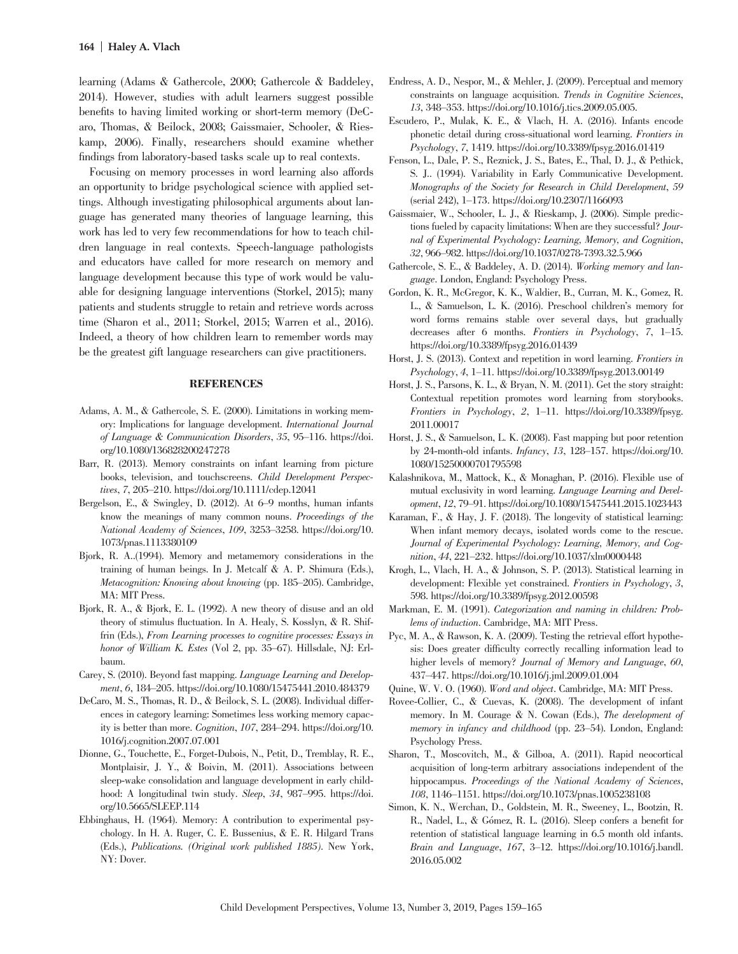learning (Adams & Gathercole, 2000; Gathercole & Baddeley, 2014). However, studies with adult learners suggest possible benefits to having limited working or short-term memory (DeCaro, Thomas, & Beilock, 2008; Gaissmaier, Schooler, & Rieskamp, 2006). Finally, researchers should examine whether findings from laboratory-based tasks scale up to real contexts.

Focusing on memory processes in word learning also affords an opportunity to bridge psychological science with applied settings. Although investigating philosophical arguments about language has generated many theories of language learning, this work has led to very few recommendations for how to teach children language in real contexts. Speech-language pathologists and educators have called for more research on memory and language development because this type of work would be valuable for designing language interventions (Storkel, 2015); many patients and students struggle to retain and retrieve words across time (Sharon et al., 2011; Storkel, 2015; Warren et al., 2016). Indeed, a theory of how children learn to remember words may be the greatest gift language researchers can give practitioners.

#### **REFERENCES**

- Adams, A. M., & Gathercole, S. E. (2000). Limitations in working memory: Implications for language development. International Journal of Language & Communication Disorders, 35, 95–116. [https://doi.](https://doi.org/10.1080/136828200247278) [org/10.1080/136828200247278](https://doi.org/10.1080/136828200247278)
- Barr, R. (2013). Memory constraints on infant learning from picture books, television, and touchscreens. Child Development Perspectives, 7, 205–210.<https://doi.org/10.1111/cdep.12041>
- Bergelson, E., & Swingley, D. (2012). At 6–9 months, human infants know the meanings of many common nouns. Proceedings of the National Academy of Sciences, 109, 3253–3258. [https://doi.org/10.](https://doi.org/10.1073/pnas.1113380109) [1073/pnas.1113380109](https://doi.org/10.1073/pnas.1113380109)
- Bjork, R. A..(1994). Memory and metamemory considerations in the training of human beings. In J. Metcalf & A. P. Shimura (Eds.), Metacognition: Knowing about knowing (pp. 185–205). Cambridge, MA: MIT Press.
- Bjork, R. A., & Bjork, E. L. (1992). A new theory of disuse and an old theory of stimulus fluctuation. In A. Healy, S. Kosslyn, & R. Shiffrin (Eds.), From Learning processes to cognitive processes: Essays in honor of William K. Estes (Vol 2, pp. 35–67). Hillsdale, NJ: Erlbaum.
- Carey, S. (2010). Beyond fast mapping. Language Learning and Development, 6, 184–205.<https://doi.org/10.1080/15475441.2010.484379>
- DeCaro, M. S., Thomas, R. D., & Beilock, S. L. (2008). Individual differences in category learning: Sometimes less working memory capacity is better than more. Cognition, 107, 284–294. [https://doi.org/10.](https://doi.org/10.1016/j.cognition.2007.07.001) [1016/j.cognition.2007.07.001](https://doi.org/10.1016/j.cognition.2007.07.001)
- Dionne, G., Touchette, E., Forget-Dubois, N., Petit, D., Tremblay, R. E., Montplaisir, J. Y., & Boivin, M. (2011). Associations between sleep-wake consolidation and language development in early childhood: A longitudinal twin study. Sleep, 34, 987–995. [https://doi.](https://doi.org/10.5665/SLEEP.114) [org/10.5665/SLEEP.114](https://doi.org/10.5665/SLEEP.114)
- Ebbinghaus, H. (1964). Memory: A contribution to experimental psychology. In H. A. Ruger, C. E. Bussenius, & E. R. Hilgard Trans (Eds.), Publications. (Original work published 1885). New York, NY: Dover.
- Endress, A. D., Nespor, M., & Mehler, J. (2009). Perceptual and memory constraints on language acquisition. Trends in Cognitive Sciences, 13, 348–353. [https://doi.org/10.1016/j.tics.2009.05.005.](https://doi.org/10.1016/j.tics.2009.05.005)
- Escudero, P., Mulak, K. E., & Vlach, H. A. (2016). Infants encode phonetic detail during cross-situational word learning. Frontiers in Psychology, 7, 1419.<https://doi.org/10.3389/fpsyg.2016.01419>
- Fenson, L., Dale, P. S., Reznick, J. S., Bates, E., Thal, D. J., & Pethick, S. J.. (1994). Variability in Early Communicative Development. Monographs of the Society for Research in Child Development, 59 (serial 242), 1–173.<https://doi.org/10.2307/1166093>
- Gaissmaier, W., Schooler, L. J., & Rieskamp, J. (2006). Simple predictions fueled by capacity limitations: When are they successful? Journal of Experimental Psychology: Learning, Memory, and Cognition, 32, 966–982.<https://doi.org/10.1037/0278-7393.32.5.966>
- Gathercole, S. E., & Baddeley, A. D. (2014). Working memory and language. London, England: Psychology Press.
- Gordon, K. R., McGregor, K. K., Waldier, B., Curran, M. K., Gomez, R. L., & Samuelson, L. K. (2016). Preschool children's memory for word forms remains stable over several days, but gradually decreases after 6 months. Frontiers in Psychology, 7, 1–15. <https://doi.org/10.3389/fpsyg.2016.01439>
- Horst, J. S. (2013). Context and repetition in word learning. Frontiers in Psychology, 4, 1–11.<https://doi.org/10.3389/fpsyg.2013.00149>
- Horst, J. S., Parsons, K. L., & Bryan, N. M. (2011). Get the story straight: Contextual repetition promotes word learning from storybooks. Frontiers in Psychology, 2, 1–11. [https://doi.org/10.3389/fpsyg.](https://doi.org/10.3389/fpsyg.2011.00017) [2011.00017](https://doi.org/10.3389/fpsyg.2011.00017)
- Horst, J. S., & Samuelson, L. K. (2008). Fast mapping but poor retention by 24-month-old infants. Infancy, 13, 128–157. [https://doi.org/10.](https://doi.org/10.1080/15250000701795598) [1080/15250000701795598](https://doi.org/10.1080/15250000701795598)
- Kalashnikova, M., Mattock, K., & Monaghan, P. (2016). Flexible use of mutual exclusivity in word learning. Language Learning and Development, 12, 79–91.<https://doi.org/10.1080/15475441.2015.1023443>
- Karaman, F., & Hay, J. F. (2018). The longevity of statistical learning: When infant memory decays, isolated words come to the rescue. Journal of Experimental Psychology: Learning, Memory, and Cognition, 44, 221–232.<https://doi.org/10.1037/xlm0000448>
- Krogh, L., Vlach, H. A., & Johnson, S. P. (2013). Statistical learning in development: Flexible yet constrained. Frontiers in Psychology, 3, 598.<https://doi.org/10.3389/fpsyg.2012.00598>
- Markman, E. M. (1991). Categorization and naming in children: Problems of induction. Cambridge, MA: MIT Press.
- Pyc, M. A., & Rawson, K. A. (2009). Testing the retrieval effort hypothesis: Does greater difficulty correctly recalling information lead to higher levels of memory? Journal of Memory and Language, 60, 437–447.<https://doi.org/10.1016/j.jml.2009.01.004>
- Quine, W. V. O. (1960). Word and object. Cambridge, MA: MIT Press.
- Rovee-Collier, C., & Cuevas, K. (2008). The development of infant memory. In M. Courage & N. Cowan (Eds.), The development of memory in infancy and childhood (pp. 23–54). London, England: Psychology Press.
- Sharon, T., Moscovitch, M., & Gilboa, A. (2011). Rapid neocortical acquisition of long-term arbitrary associations independent of the hippocampus. Proceedings of the National Academy of Sciences, 108, 1146–1151.<https://doi.org/10.1073/pnas.1005238108>
- Simon, K. N., Werchan, D., Goldstein, M. R., Sweeney, L., Bootzin, R. R., Nadel, L., & Gómez, R. L. (2016). Sleep confers a benefit for retention of statistical language learning in 6.5 month old infants. Brain and Language, 167, 3–12. [https://doi.org/10.1016/j.bandl.](https://doi.org/10.1016/j.bandl.2016.05.002) [2016.05.002](https://doi.org/10.1016/j.bandl.2016.05.002)